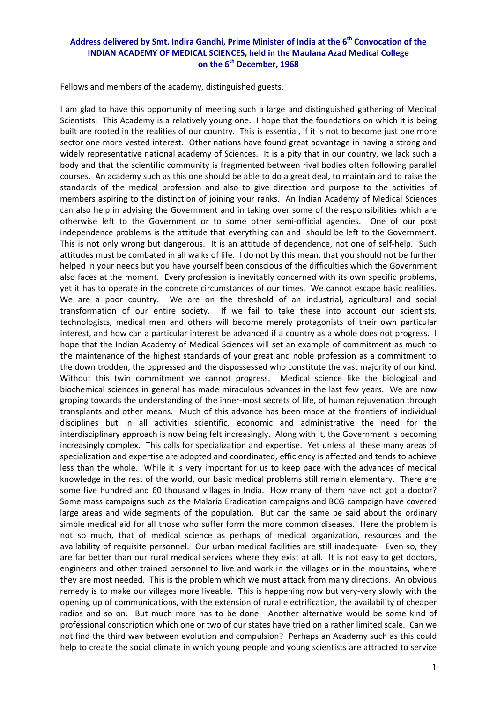## **Address delivered by Smt. Indira Gandhi, Prime Minister of India at the 6th Convocation of the INDIAN ACADEMY OF MEDICAL SCIENCES, held in the Maulana Azad Medical College on the 6th December, 1968**

Fellows and members of the academy, distinguished guests.

I am glad to have this opportunity of meeting such a large and distinguished gathering of Medical Scientists. This Academy is a relatively young one. I hope that the foundations on which it is being built are rooted in the realities of our country. This is essential, if it is not to become just one more sector one more vested interest. Other nations have found great advantage in having a strong and widely representative national academy of Sciences. It is a pity that in our country, we lack such a body and that the scientific community is fragmented between rival bodies often following parallel courses. An academy such as this one should be able to do a great deal, to maintain and to raise the standards of the medical profession and also to give direction and purpose to the activities of members aspiring to the distinction of joining your ranks. An Indian Academy of Medical Sciences can also help in advising the Government and in taking over some of the responsibilities which are otherwise left to the Government or to some other semi‐official agencies. One of our post independence problems is the attitude that everything can and should be left to the Government. This is not only wrong but dangerous. It is an attitude of dependence, not one of self‐help. Such attitudes must be combated in all walks of life. I do not by this mean, that you should not be further helped in your needs but you have yourself been conscious of the difficulties which the Government also faces at the moment. Every profession is inevitably concerned with its own specific problems, yet it has to operate in the concrete circumstances of our times. We cannot escape basic realities. We are a poor country. We are on the threshold of an industrial, agricultural and social transformation of our entire society. If we fail to take these into account our scientists, technologists, medical men and others will become merely protagonists of their own particular interest, and how can a particular interest be advanced if a country as a whole does not progress. I hope that the Indian Academy of Medical Sciences will set an example of commitment as much to the maintenance of the highest standards of your great and noble profession as a commitment to the down trodden, the oppressed and the dispossessed who constitute the vast majority of our kind. Without this twin commitment we cannot progress. Medical science like the biological and biochemical sciences in general has made miraculous advances in the last few years. We are now groping towards the understanding of the inner‐most secrets of life, of human rejuvenation through transplants and other means. Much of this advance has been made at the frontiers of individual disciplines but in all activities scientific, economic and administrative the need for the interdisciplinary approach is now being felt increasingly. Along with it, the Government is becoming increasingly complex. This calls for specialization and expertise. Yet unless all these many areas of specialization and expertise are adopted and coordinated, efficiency is affected and tends to achieve less than the whole. While it is very important for us to keep pace with the advances of medical knowledge in the rest of the world, our basic medical problems still remain elementary. There are some five hundred and 60 thousand villages in India. How many of them have not got a doctor? Some mass campaigns such as the Malaria Eradication campaigns and BCG campaign have covered large areas and wide segments of the population. But can the same be said about the ordinary simple medical aid for all those who suffer form the more common diseases. Here the problem is not so much, that of medical science as perhaps of medical organization, resources and the availability of requisite personnel. Our urban medical facilities are still inadequate. Even so, they are far better than our rural medical services where they exist at all. It is not easy to get doctors, engineers and other trained personnel to live and work in the villages or in the mountains, where they are most needed. This is the problem which we must attack from many directions. An obvious remedy is to make our villages more liveable. This is happening now but very-very slowly with the opening up of communications, with the extension of rural electrification, the availability of cheaper radios and so on. But much more has to be done. Another alternative would be some kind of professional conscription which one or two of our states have tried on a rather limited scale. Can we not find the third way between evolution and compulsion? Perhaps an Academy such as this could help to create the social climate in which young people and young scientists are attracted to service